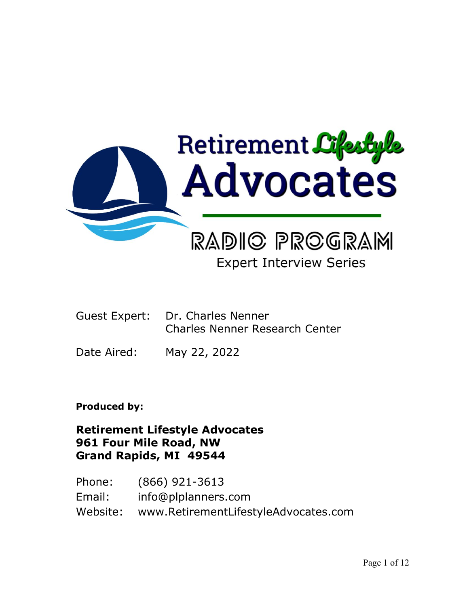

# **Expert Interview Series**

- Guest Expert: Dr. Charles Nenner Charles Nenner Research Center
- Date Aired: May 22, 2022

## **Produced by:**

## **Retirement Lifestyle Advocates 961 Four Mile Road, NW Grand Rapids, MI 49544**

Phone: (866) 921-3613 Email: info@plplanners.com Website: www.RetirementLifestyleAdvocates.com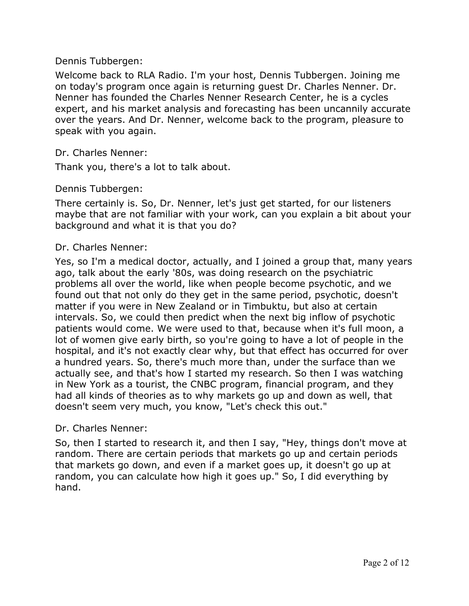#### Dennis Tubbergen:

Welcome back to RLA Radio. I'm your host, Dennis Tubbergen. Joining me on today's program once again is returning guest Dr. Charles Nenner. Dr. Nenner has founded the Charles Nenner Research Center, he is a cycles expert, and his market analysis and forecasting has been uncannily accurate over the years. And Dr. Nenner, welcome back to the program, pleasure to speak with you again.

#### Dr. Charles Nenner:

Thank you, there's a lot to talk about.

### Dennis Tubbergen:

There certainly is. So, Dr. Nenner, let's just get started, for our listeners maybe that are not familiar with your work, can you explain a bit about your background and what it is that you do?

#### Dr. Charles Nenner:

Yes, so I'm a medical doctor, actually, and I joined a group that, many years ago, talk about the early '80s, was doing research on the psychiatric problems all over the world, like when people become psychotic, and we found out that not only do they get in the same period, psychotic, doesn't matter if you were in New Zealand or in Timbuktu, but also at certain intervals. So, we could then predict when the next big inflow of psychotic patients would come. We were used to that, because when it's full moon, a lot of women give early birth, so you're going to have a lot of people in the hospital, and it's not exactly clear why, but that effect has occurred for over a hundred years. So, there's much more than, under the surface than we actually see, and that's how I started my research. So then I was watching in New York as a tourist, the CNBC program, financial program, and they had all kinds of theories as to why markets go up and down as well, that doesn't seem very much, you know, "Let's check this out."

#### Dr. Charles Nenner:

So, then I started to research it, and then I say, "Hey, things don't move at random. There are certain periods that markets go up and certain periods that markets go down, and even if a market goes up, it doesn't go up at random, you can calculate how high it goes up." So, I did everything by hand.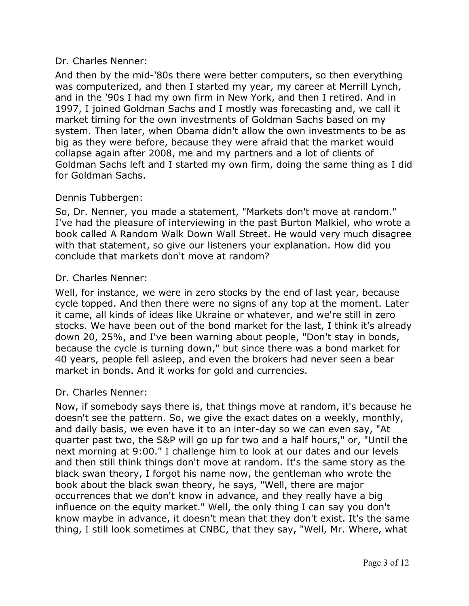## Dr. Charles Nenner:

And then by the mid-'80s there were better computers, so then everything was computerized, and then I started my year, my career at Merrill Lynch, and in the '90s I had my own firm in New York, and then I retired. And in 1997, I joined Goldman Sachs and I mostly was forecasting and, we call it market timing for the own investments of Goldman Sachs based on my system. Then later, when Obama didn't allow the own investments to be as big as they were before, because they were afraid that the market would collapse again after 2008, me and my partners and a lot of clients of Goldman Sachs left and I started my own firm, doing the same thing as I did for Goldman Sachs.

### Dennis Tubbergen:

So, Dr. Nenner, you made a statement, "Markets don't move at random." I've had the pleasure of interviewing in the past Burton Malkiel, who wrote a book called A Random Walk Down Wall Street. He would very much disagree with that statement, so give our listeners your explanation. How did you conclude that markets don't move at random?

### Dr. Charles Nenner:

Well, for instance, we were in zero stocks by the end of last year, because cycle topped. And then there were no signs of any top at the moment. Later it came, all kinds of ideas like Ukraine or whatever, and we're still in zero stocks. We have been out of the bond market for the last, I think it's already down 20, 25%, and I've been warning about people, "Don't stay in bonds, because the cycle is turning down," but since there was a bond market for 40 years, people fell asleep, and even the brokers had never seen a bear market in bonds. And it works for gold and currencies.

#### Dr. Charles Nenner:

Now, if somebody says there is, that things move at random, it's because he doesn't see the pattern. So, we give the exact dates on a weekly, monthly, and daily basis, we even have it to an inter-day so we can even say, "At quarter past two, the S&P will go up for two and a half hours," or, "Until the next morning at 9:00." I challenge him to look at our dates and our levels and then still think things don't move at random. It's the same story as the black swan theory, I forgot his name now, the gentleman who wrote the book about the black swan theory, he says, "Well, there are major occurrences that we don't know in advance, and they really have a big influence on the equity market." Well, the only thing I can say you don't know maybe in advance, it doesn't mean that they don't exist. It's the same thing, I still look sometimes at CNBC, that they say, "Well, Mr. Where, what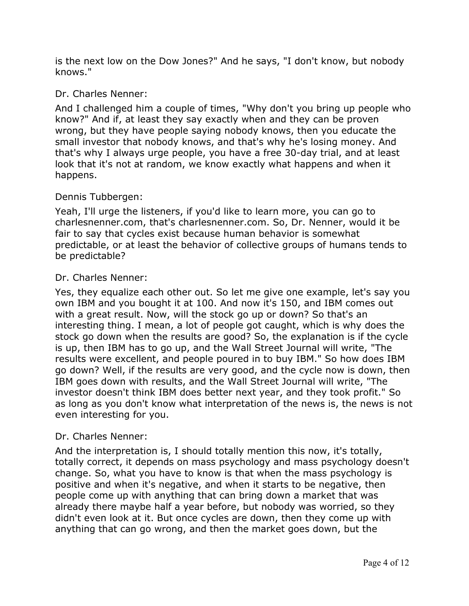is the next low on the Dow Jones?" And he says, "I don't know, but nobody knows."

## Dr. Charles Nenner:

And I challenged him a couple of times, "Why don't you bring up people who know?" And if, at least they say exactly when and they can be proven wrong, but they have people saying nobody knows, then you educate the small investor that nobody knows, and that's why he's losing money. And that's why I always urge people, you have a free 30-day trial, and at least look that it's not at random, we know exactly what happens and when it happens.

## Dennis Tubbergen:

Yeah, I'll urge the listeners, if you'd like to learn more, you can go to charlesnenner.com, that's charlesnenner.com. So, Dr. Nenner, would it be fair to say that cycles exist because human behavior is somewhat predictable, or at least the behavior of collective groups of humans tends to be predictable?

## Dr. Charles Nenner:

Yes, they equalize each other out. So let me give one example, let's say you own IBM and you bought it at 100. And now it's 150, and IBM comes out with a great result. Now, will the stock go up or down? So that's an interesting thing. I mean, a lot of people got caught, which is why does the stock go down when the results are good? So, the explanation is if the cycle is up, then IBM has to go up, and the Wall Street Journal will write, "The results were excellent, and people poured in to buy IBM." So how does IBM go down? Well, if the results are very good, and the cycle now is down, then IBM goes down with results, and the Wall Street Journal will write, "The investor doesn't think IBM does better next year, and they took profit." So as long as you don't know what interpretation of the news is, the news is not even interesting for you.

## Dr. Charles Nenner:

And the interpretation is, I should totally mention this now, it's totally, totally correct, it depends on mass psychology and mass psychology doesn't change. So, what you have to know is that when the mass psychology is positive and when it's negative, and when it starts to be negative, then people come up with anything that can bring down a market that was already there maybe half a year before, but nobody was worried, so they didn't even look at it. But once cycles are down, then they come up with anything that can go wrong, and then the market goes down, but the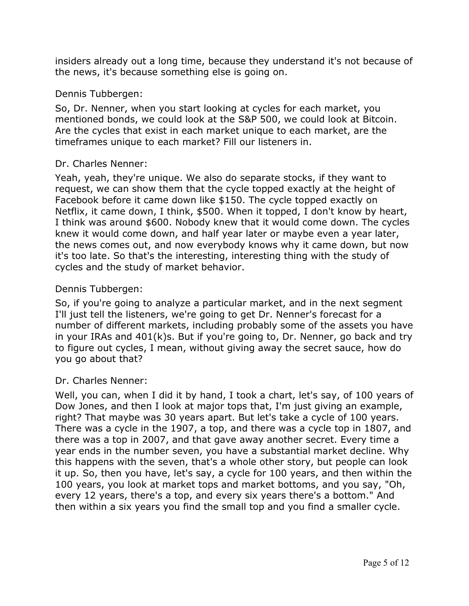insiders already out a long time, because they understand it's not because of the news, it's because something else is going on.

### Dennis Tubbergen:

So, Dr. Nenner, when you start looking at cycles for each market, you mentioned bonds, we could look at the S&P 500, we could look at Bitcoin. Are the cycles that exist in each market unique to each market, are the timeframes unique to each market? Fill our listeners in.

#### Dr. Charles Nenner:

Yeah, yeah, they're unique. We also do separate stocks, if they want to request, we can show them that the cycle topped exactly at the height of Facebook before it came down like \$150. The cycle topped exactly on Netflix, it came down, I think, \$500. When it topped, I don't know by heart, I think was around \$600. Nobody knew that it would come down. The cycles knew it would come down, and half year later or maybe even a year later, the news comes out, and now everybody knows why it came down, but now it's too late. So that's the interesting, interesting thing with the study of cycles and the study of market behavior.

### Dennis Tubbergen:

So, if you're going to analyze a particular market, and in the next segment I'll just tell the listeners, we're going to get Dr. Nenner's forecast for a number of different markets, including probably some of the assets you have in your IRAs and 401(k)s. But if you're going to, Dr. Nenner, go back and try to figure out cycles, I mean, without giving away the secret sauce, how do you go about that?

#### Dr. Charles Nenner:

Well, you can, when I did it by hand, I took a chart, let's say, of 100 years of Dow Jones, and then I look at major tops that, I'm just giving an example, right? That maybe was 30 years apart. But let's take a cycle of 100 years. There was a cycle in the 1907, a top, and there was a cycle top in 1807, and there was a top in 2007, and that gave away another secret. Every time a year ends in the number seven, you have a substantial market decline. Why this happens with the seven, that's a whole other story, but people can look it up. So, then you have, let's say, a cycle for 100 years, and then within the 100 years, you look at market tops and market bottoms, and you say, "Oh, every 12 years, there's a top, and every six years there's a bottom." And then within a six years you find the small top and you find a smaller cycle.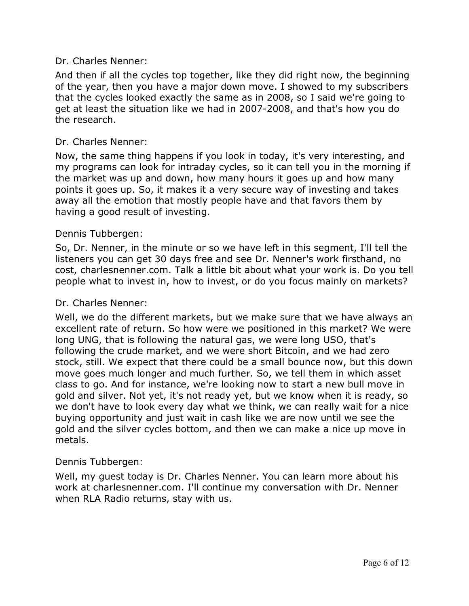#### Dr. Charles Nenner:

And then if all the cycles top together, like they did right now, the beginning of the year, then you have a major down move. I showed to my subscribers that the cycles looked exactly the same as in 2008, so I said we're going to get at least the situation like we had in 2007-2008, and that's how you do the research.

### Dr. Charles Nenner:

Now, the same thing happens if you look in today, it's very interesting, and my programs can look for intraday cycles, so it can tell you in the morning if the market was up and down, how many hours it goes up and how many points it goes up. So, it makes it a very secure way of investing and takes away all the emotion that mostly people have and that favors them by having a good result of investing.

### Dennis Tubbergen:

So, Dr. Nenner, in the minute or so we have left in this segment, I'll tell the listeners you can get 30 days free and see Dr. Nenner's work firsthand, no cost, charlesnenner.com. Talk a little bit about what your work is. Do you tell people what to invest in, how to invest, or do you focus mainly on markets?

#### Dr. Charles Nenner:

Well, we do the different markets, but we make sure that we have always an excellent rate of return. So how were we positioned in this market? We were long UNG, that is following the natural gas, we were long USO, that's following the crude market, and we were short Bitcoin, and we had zero stock, still. We expect that there could be a small bounce now, but this down move goes much longer and much further. So, we tell them in which asset class to go. And for instance, we're looking now to start a new bull move in gold and silver. Not yet, it's not ready yet, but we know when it is ready, so we don't have to look every day what we think, we can really wait for a nice buying opportunity and just wait in cash like we are now until we see the gold and the silver cycles bottom, and then we can make a nice up move in metals.

## Dennis Tubbergen:

Well, my guest today is Dr. Charles Nenner. You can learn more about his work at charlesnenner.com. I'll continue my conversation with Dr. Nenner when RLA Radio returns, stay with us.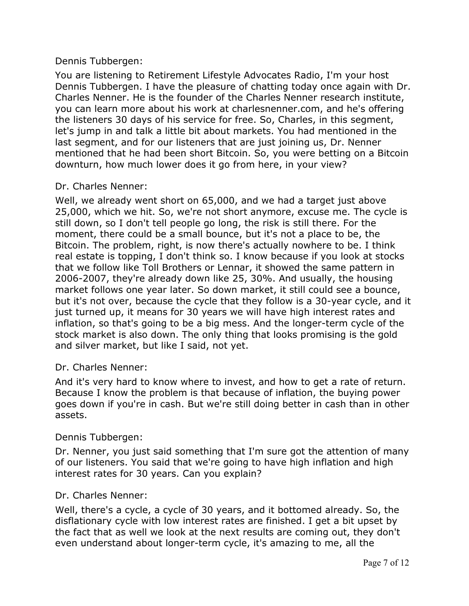## Dennis Tubbergen:

You are listening to Retirement Lifestyle Advocates Radio, I'm your host Dennis Tubbergen. I have the pleasure of chatting today once again with Dr. Charles Nenner. He is the founder of the Charles Nenner research institute, you can learn more about his work at charlesnenner.com, and he's offering the listeners 30 days of his service for free. So, Charles, in this segment, let's jump in and talk a little bit about markets. You had mentioned in the last segment, and for our listeners that are just joining us, Dr. Nenner mentioned that he had been short Bitcoin. So, you were betting on a Bitcoin downturn, how much lower does it go from here, in your view?

## Dr. Charles Nenner:

Well, we already went short on 65,000, and we had a target just above 25,000, which we hit. So, we're not short anymore, excuse me. The cycle is still down, so I don't tell people go long, the risk is still there. For the moment, there could be a small bounce, but it's not a place to be, the Bitcoin. The problem, right, is now there's actually nowhere to be. I think real estate is topping, I don't think so. I know because if you look at stocks that we follow like Toll Brothers or Lennar, it showed the same pattern in 2006-2007, they're already down like 25, 30%. And usually, the housing market follows one year later. So down market, it still could see a bounce, but it's not over, because the cycle that they follow is a 30-year cycle, and it just turned up, it means for 30 years we will have high interest rates and inflation, so that's going to be a big mess. And the longer-term cycle of the stock market is also down. The only thing that looks promising is the gold and silver market, but like I said, not yet.

#### Dr. Charles Nenner:

And it's very hard to know where to invest, and how to get a rate of return. Because I know the problem is that because of inflation, the buying power goes down if you're in cash. But we're still doing better in cash than in other assets.

## Dennis Tubbergen:

Dr. Nenner, you just said something that I'm sure got the attention of many of our listeners. You said that we're going to have high inflation and high interest rates for 30 years. Can you explain?

## Dr. Charles Nenner:

Well, there's a cycle, a cycle of 30 years, and it bottomed already. So, the disflationary cycle with low interest rates are finished. I get a bit upset by the fact that as well we look at the next results are coming out, they don't even understand about longer-term cycle, it's amazing to me, all the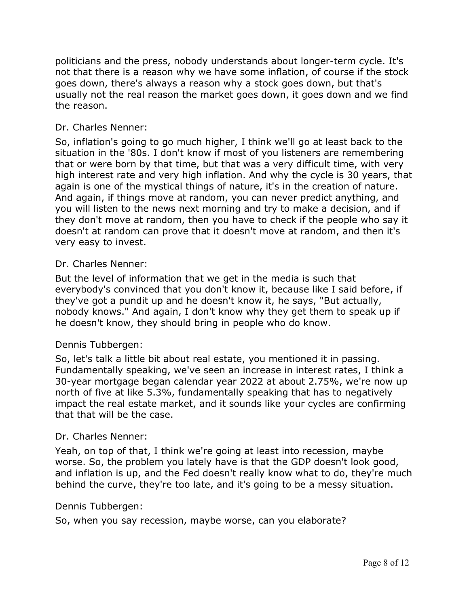politicians and the press, nobody understands about longer-term cycle. It's not that there is a reason why we have some inflation, of course if the stock goes down, there's always a reason why a stock goes down, but that's usually not the real reason the market goes down, it goes down and we find the reason.

## Dr. Charles Nenner:

So, inflation's going to go much higher, I think we'll go at least back to the situation in the '80s. I don't know if most of you listeners are remembering that or were born by that time, but that was a very difficult time, with very high interest rate and very high inflation. And why the cycle is 30 years, that again is one of the mystical things of nature, it's in the creation of nature. And again, if things move at random, you can never predict anything, and you will listen to the news next morning and try to make a decision, and if they don't move at random, then you have to check if the people who say it doesn't at random can prove that it doesn't move at random, and then it's very easy to invest.

#### Dr. Charles Nenner:

But the level of information that we get in the media is such that everybody's convinced that you don't know it, because like I said before, if they've got a pundit up and he doesn't know it, he says, "But actually, nobody knows." And again, I don't know why they get them to speak up if he doesn't know, they should bring in people who do know.

#### Dennis Tubbergen:

So, let's talk a little bit about real estate, you mentioned it in passing. Fundamentally speaking, we've seen an increase in interest rates, I think a 30-year mortgage began calendar year 2022 at about 2.75%, we're now up north of five at like 5.3%, fundamentally speaking that has to negatively impact the real estate market, and it sounds like your cycles are confirming that that will be the case.

#### Dr. Charles Nenner:

Yeah, on top of that, I think we're going at least into recession, maybe worse. So, the problem you lately have is that the GDP doesn't look good, and inflation is up, and the Fed doesn't really know what to do, they're much behind the curve, they're too late, and it's going to be a messy situation.

#### Dennis Tubbergen:

So, when you say recession, maybe worse, can you elaborate?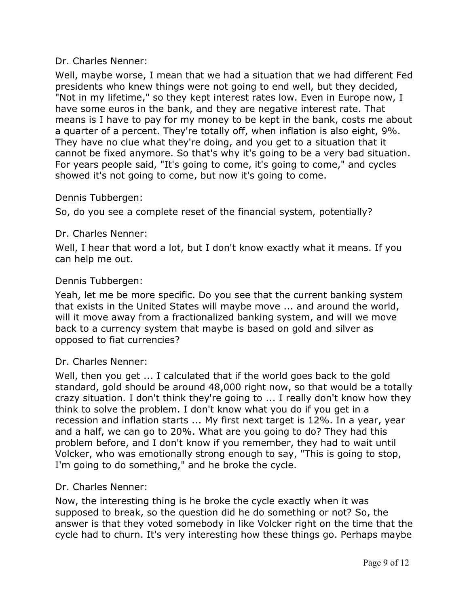## Dr. Charles Nenner:

Well, maybe worse, I mean that we had a situation that we had different Fed presidents who knew things were not going to end well, but they decided, "Not in my lifetime," so they kept interest rates low. Even in Europe now, I have some euros in the bank, and they are negative interest rate. That means is I have to pay for my money to be kept in the bank, costs me about a quarter of a percent. They're totally off, when inflation is also eight, 9%. They have no clue what they're doing, and you get to a situation that it cannot be fixed anymore. So that's why it's going to be a very bad situation. For years people said, "It's going to come, it's going to come," and cycles showed it's not going to come, but now it's going to come.

### Dennis Tubbergen:

So, do you see a complete reset of the financial system, potentially?

### Dr. Charles Nenner:

Well, I hear that word a lot, but I don't know exactly what it means. If you can help me out.

### Dennis Tubbergen:

Yeah, let me be more specific. Do you see that the current banking system that exists in the United States will maybe move ... and around the world, will it move away from a fractionalized banking system, and will we move back to a currency system that maybe is based on gold and silver as opposed to fiat currencies?

#### Dr. Charles Nenner:

Well, then you get ... I calculated that if the world goes back to the gold standard, gold should be around 48,000 right now, so that would be a totally crazy situation. I don't think they're going to ... I really don't know how they think to solve the problem. I don't know what you do if you get in a recession and inflation starts ... My first next target is 12%. In a year, year and a half, we can go to 20%. What are you going to do? They had this problem before, and I don't know if you remember, they had to wait until Volcker, who was emotionally strong enough to say, "This is going to stop, I'm going to do something," and he broke the cycle.

#### Dr. Charles Nenner:

Now, the interesting thing is he broke the cycle exactly when it was supposed to break, so the question did he do something or not? So, the answer is that they voted somebody in like Volcker right on the time that the cycle had to churn. It's very interesting how these things go. Perhaps maybe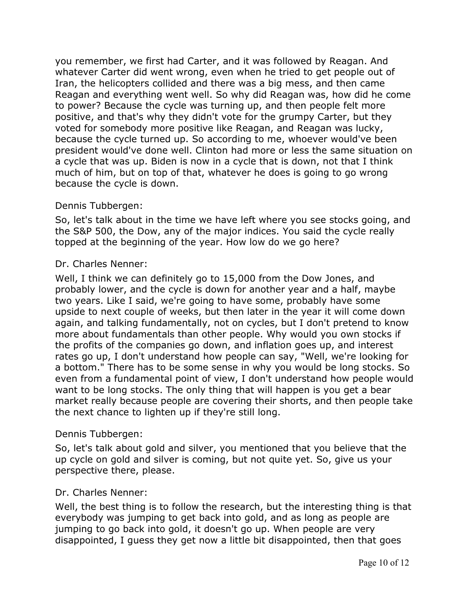you remember, we first had Carter, and it was followed by Reagan. And whatever Carter did went wrong, even when he tried to get people out of Iran, the helicopters collided and there was a big mess, and then came Reagan and everything went well. So why did Reagan was, how did he come to power? Because the cycle was turning up, and then people felt more positive, and that's why they didn't vote for the grumpy Carter, but they voted for somebody more positive like Reagan, and Reagan was lucky, because the cycle turned up. So according to me, whoever would've been president would've done well. Clinton had more or less the same situation on a cycle that was up. Biden is now in a cycle that is down, not that I think much of him, but on top of that, whatever he does is going to go wrong because the cycle is down.

## Dennis Tubbergen:

So, let's talk about in the time we have left where you see stocks going, and the S&P 500, the Dow, any of the major indices. You said the cycle really topped at the beginning of the year. How low do we go here?

## Dr. Charles Nenner:

Well, I think we can definitely go to 15,000 from the Dow Jones, and probably lower, and the cycle is down for another year and a half, maybe two years. Like I said, we're going to have some, probably have some upside to next couple of weeks, but then later in the year it will come down again, and talking fundamentally, not on cycles, but I don't pretend to know more about fundamentals than other people. Why would you own stocks if the profits of the companies go down, and inflation goes up, and interest rates go up, I don't understand how people can say, "Well, we're looking for a bottom." There has to be some sense in why you would be long stocks. So even from a fundamental point of view, I don't understand how people would want to be long stocks. The only thing that will happen is you get a bear market really because people are covering their shorts, and then people take the next chance to lighten up if they're still long.

## Dennis Tubbergen:

So, let's talk about gold and silver, you mentioned that you believe that the up cycle on gold and silver is coming, but not quite yet. So, give us your perspective there, please.

## Dr. Charles Nenner:

Well, the best thing is to follow the research, but the interesting thing is that everybody was jumping to get back into gold, and as long as people are jumping to go back into gold, it doesn't go up. When people are very disappointed, I guess they get now a little bit disappointed, then that goes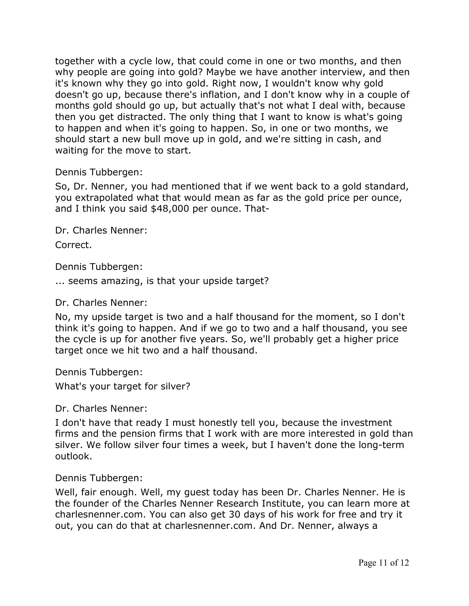together with a cycle low, that could come in one or two months, and then why people are going into gold? Maybe we have another interview, and then it's known why they go into gold. Right now, I wouldn't know why gold doesn't go up, because there's inflation, and I don't know why in a couple of months gold should go up, but actually that's not what I deal with, because then you get distracted. The only thing that I want to know is what's going to happen and when it's going to happen. So, in one or two months, we should start a new bull move up in gold, and we're sitting in cash, and waiting for the move to start.

Dennis Tubbergen:

So, Dr. Nenner, you had mentioned that if we went back to a gold standard, you extrapolated what that would mean as far as the gold price per ounce, and I think you said \$48,000 per ounce. That-

Dr. Charles Nenner:

Correct.

Dennis Tubbergen:

... seems amazing, is that your upside target?

Dr. Charles Nenner:

No, my upside target is two and a half thousand for the moment, so I don't think it's going to happen. And if we go to two and a half thousand, you see the cycle is up for another five years. So, we'll probably get a higher price target once we hit two and a half thousand.

Dennis Tubbergen:

What's your target for silver?

Dr. Charles Nenner:

I don't have that ready I must honestly tell you, because the investment firms and the pension firms that I work with are more interested in gold than silver. We follow silver four times a week, but I haven't done the long-term outlook.

Dennis Tubbergen:

Well, fair enough. Well, my guest today has been Dr. Charles Nenner. He is the founder of the Charles Nenner Research Institute, you can learn more at charlesnenner.com. You can also get 30 days of his work for free and try it out, you can do that at charlesnenner.com. And Dr. Nenner, always a